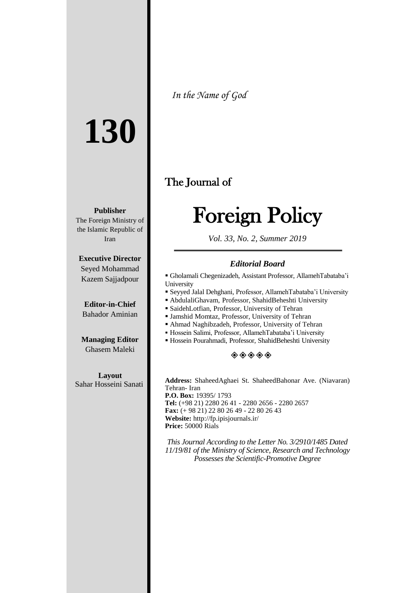# **130**

**Publisher**

The Foreign Ministry of the Islamic Republic of Iran

**Executive Director** Seyed Mohammad Kazem Sajjadpour

**Editor-in-Chief** Bahador Aminian

**Managing Editor** Ghasem Maleki

**Layout** Sahar Hosseini Sanati *In the Name of God*

# The Journal of

# Foreign Policy

*Vol. 33, No. 2, Summer 2019*

#### *Editorial Board*

- Gholamali Chegenizadeh, Assistant Professor, AllamehTabataba'i University
- Seyyed Jalal Dehghani, Professor, AllamehTabataba'i University
- AbdulaliGhavam, Professor, ShahidBeheshti University
- SaidehLotfian, Professor, University of Tehran
- Jamshid Momtaz, Professor, University of Tehran
- Ahmad Naghibzadeh, Professor, University of Tehran
- Hossein Salimi, Professor, AllamehTabataba'i University
- Hossein Pourahmadi, Professor, ShahidBeheshti University

#### $\diamondsuit \diamondsuit \diamondsuit \diamondsuit$

**Address:** ShaheedAghaei St. ShaheedBahonar Ave. (Niavaran) Tehran- Iran **P.O. Box:** 19395/ 1793 **Tel:** (+98 21) 2280 26 41 - 2280 2656 - 2280 2657 **Fax:** (+ 98 21) 22 80 26 49 - 22 80 26 43 **Website:** http://fp.ipisjournals.ir/ **Price:** 50000 Rials

*This Journal According to the Letter No. 3/2910/1485 Dated 11/19/81 of the Ministry of Science, Research and Technology Possesses the Scientific-Promotive Degree*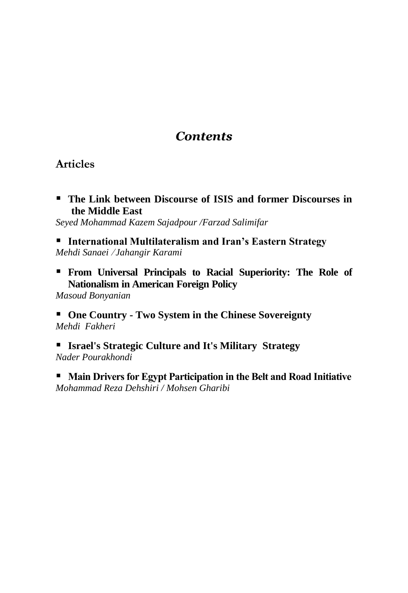# *Contents*

#### **Articles**

 **The Link between Discourse of ISIS and former Discourses in the Middle East**

*Seyed Mohammad Kazem Sajadpour /Farzad Salimifar* 

 **International Multilateralism and Iran's Eastern Strategy** *Mehdi Sanaei* / *Jahangir Karami*

 **From Universal Principals to Racial Superiority: The Role of Nationalism in American Foreign Policy**

*Masoud Bonyanian*

 **One Country - Two System in the Chinese Sovereignty** *Mehdi Fakheri*

 **Israel's Strategic Culture and It's Military Strategy** *Nader Pourakhondi*

**Main Drivers for Egypt Participation in the Belt and Road Initiative** *Mohammad Reza Dehshiri / Mohsen Gharibi*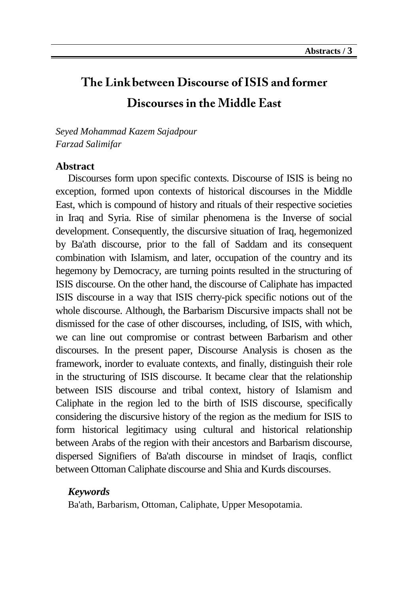# The Link between Discourse of ISIS and former Discourses in the Middle East

*Seyed Mohammad Kazem Sajadpour Farzad Salimifar*

#### **Abstract**

Discourses form upon specific contexts. Discourse of ISIS is being no exception, formed upon contexts of historical discourses in the Middle East, which is compound of history and rituals of their respective societies in Iraq and Syria. Rise of similar phenomena is the Inverse of social development. Consequently, the discursive situation of Iraq, hegemonized by Ba'ath discourse, prior to the fall of Saddam and its consequent combination with Islamism, and later, occupation of the country and its hegemony by Democracy, are turning points resulted in the structuring of ISIS discourse. On the other hand, the discourse of Caliphate has impacted ISIS discourse in a way that ISIS cherry-pick specific notions out of the whole discourse. Although, the Barbarism Discursive impacts shall not be dismissed for the case of other discourses, including, of ISIS, with which, we can line out compromise or contrast between Barbarism and other discourses. In the present paper, Discourse Analysis is chosen as the framework, inorder to evaluate contexts, and finally, distinguish their role in the structuring of ISIS discourse. It became clear that the relationship between ISIS discourse and tribal context, history of Islamism and Caliphate in the region led to the birth of ISIS discourse, specifically considering the discursive history of the region as the medium for ISIS to form historical legitimacy using cultural and historical relationship between Arabs of the region with their ancestors and Barbarism discourse, dispersed Signifiers of Ba'ath discourse in mindset of Iraqis, conflict between Ottoman Caliphate discourse and Shia and Kurds discourses.

#### *Keywords*

Ba'ath, Barbarism, Ottoman, Caliphate, Upper Mesopotamia.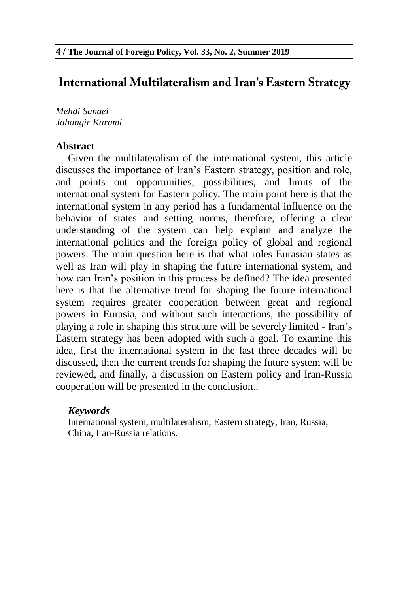## **International Multilateralism and Iran's Eastern Strategy**

*Mehdi Sanaei Jahangir Karami*

#### **Abstract**

Given the multilateralism of the international system, this article discusses the importance of Iran's Eastern strategy, position and role, and points out opportunities, possibilities, and limits of the international system for Eastern policy. The main point here is that the international system in any period has a fundamental influence on the behavior of states and setting norms, therefore, offering a clear understanding of the system can help explain and analyze the international politics and the foreign policy of global and regional powers. The main question here is that what roles Eurasian states as well as Iran will play in shaping the future international system, and how can Iran's position in this process be defined? The idea presented here is that the alternative trend for shaping the future international system requires greater cooperation between great and regional powers in Eurasia, and without such interactions, the possibility of playing a role in shaping this structure will be severely limited - Iran's Eastern strategy has been adopted with such a goal. To examine this idea, first the international system in the last three decades will be discussed, then the current trends for shaping the future system will be reviewed, and finally, a discussion on Eastern policy and Iran-Russia cooperation will be presented in the conclusion..

#### *Keywords*

International system, multilateralism, Eastern strategy, Iran, Russia, China, Iran-Russia relations.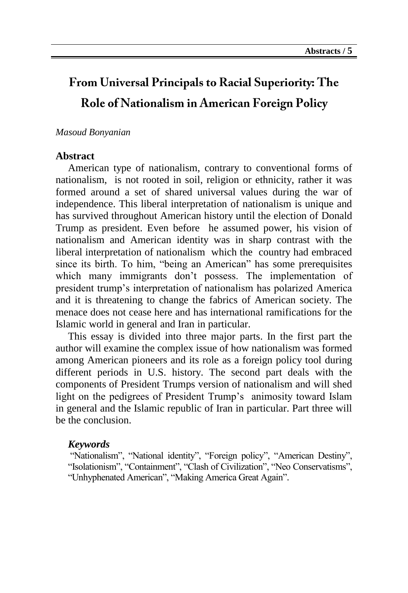# From Universal Principals to Racial Superiority: The Role of Nationalism in American Foreign Policy

#### *Masoud Bonyanian*

#### **Abstract**

American type of nationalism, contrary to conventional forms of nationalism, is not rooted in soil, religion or ethnicity, rather it was formed around a set of shared universal values during the war of independence. This liberal interpretation of nationalism is unique and has survived throughout American history until the election of Donald Trump as president. Even before he assumed power, his vision of nationalism and American identity was in sharp contrast with the liberal interpretation of nationalism which the country had embraced since its birth. To him, "being an American" has some prerequisites which many immigrants don't possess. The implementation of president trump's interpretation of nationalism has polarized America and it is threatening to change the fabrics of American society. The menace does not cease here and has international ramifications for the Islamic world in general and Iran in particular.

This essay is divided into three major parts. In the first part the author will examine the complex issue of how nationalism was formed among American pioneers and its role as a foreign policy tool during different periods in U.S. history. The second part deals with the components of President Trumps version of nationalism and will shed light on the pedigrees of President Trump's animosity toward Islam in general and the Islamic republic of Iran in particular. Part three will be the conclusion.

#### *Keywords*

"Nationalism", "National identity", "Foreign policy", "American Destiny", "Isolationism", "Containment", "Clash of Civilization", "Neo Conservatisms", "Unhyphenated American", "Making America Great Again".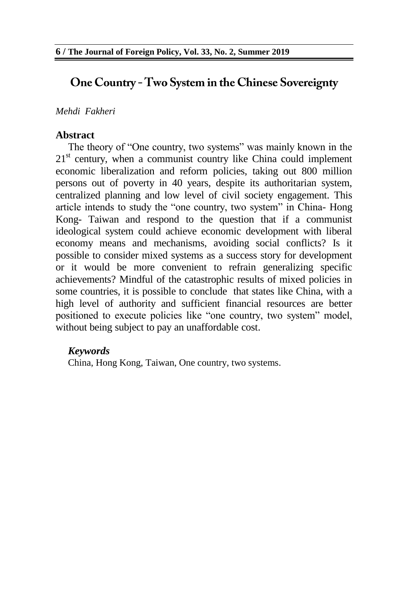# One Country - Two System in the Chinese Sovereignty

#### *Mehdi Fakheri*

#### **Abstract**

The theory of "One country, two systems" was mainly known in the  $21<sup>st</sup>$  century, when a communist country like China could implement economic liberalization and reform policies, taking out 800 million persons out of poverty in 40 years, despite its authoritarian system, centralized planning and low level of civil society engagement. This article intends to study the "one country, two system" in China- Hong Kong- Taiwan and respond to the question that if a communist ideological system could achieve economic development with liberal economy means and mechanisms, avoiding social conflicts? Is it possible to consider mixed systems as a success story for development or it would be more convenient to refrain generalizing specific achievements? Mindful of the catastrophic results of mixed policies in some countries, it is possible to conclude that states like China, with a high level of authority and sufficient financial resources are better positioned to execute policies like "one country, two system" model, without being subject to pay an unaffordable cost.

#### *Keywords*

China, Hong Kong, Taiwan, One country, two systems.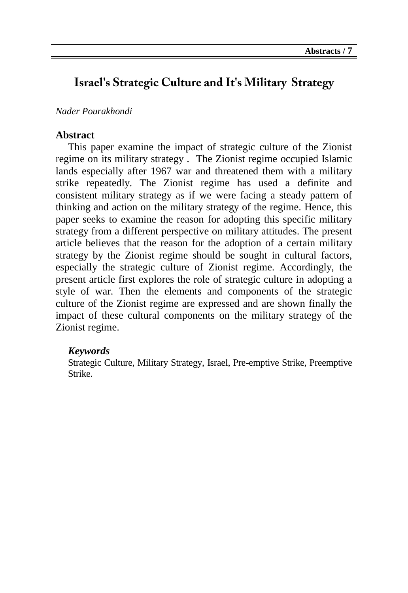## **Israel's Strategic Culture and It's Military Strategy**

#### *Nader Pourakhondi*

#### **Abstract**

This paper examine the impact of strategic culture of the Zionist regime on its military strategy . The Zionist regime occupied Islamic lands especially after 1967 war and threatened them with a military strike repeatedly. The Zionist regime has used a definite and consistent military strategy as if we were facing a steady pattern of thinking and action on the military strategy of the regime. Hence, this paper seeks to examine the reason for adopting this specific military strategy from a different perspective on military attitudes. The present article believes that the reason for the adoption of a certain military strategy by the Zionist regime should be sought in cultural factors, especially the strategic culture of Zionist regime. Accordingly, the present article first explores the role of strategic culture in adopting a style of war. Then the elements and components of the strategic culture of the Zionist regime are expressed and are shown finally the impact of these cultural components on the military strategy of the Zionist regime.

#### *Keywords*

Strategic Culture, Military Strategy, Israel, Pre-emptive Strike, Preemptive Strike.